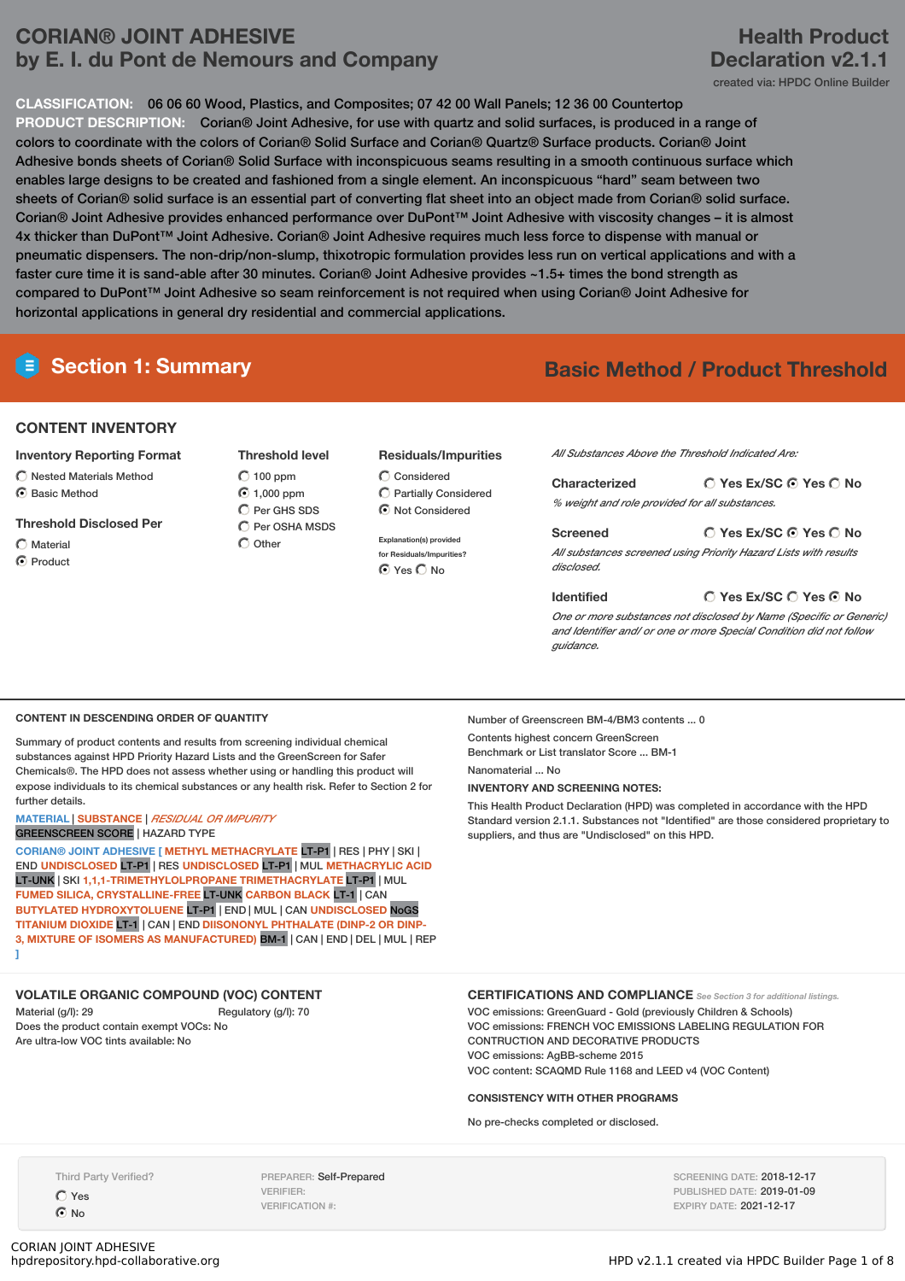### **CORIAN® JOINT ADHESIVE by E. I. du Pont de Nemours and Company**

### **Health Product Declaration v2.1.1**

created via: HPDC Online Builder

**CLASSIFICATION:** 06 06 60 Wood, Plastics, and Composites; 07 42 00 Wall Panels; 12 36 00 Countertop **PRODUCT DESCRIPTION:** Corian® Joint Adhesive, for use with quartz and solid surfaces, is produced in a range of colors to coordinate with the colors of Corian® Solid Surface and Corian® Quartz® Surface products. Corian® Joint Adhesive bonds sheets of Corian® Solid Surface with inconspicuous seams resulting in a smooth continuous surface which enables large designs to be created and fashioned from a single element. An inconspicuous "hard" seam between two sheets of Corian® solid surface is an essential part of converting flat sheet into an object made from Corian® solid surface. Corian® Joint Adhesive provides enhanced performance over DuPont™ Joint Adhesive with viscosity changes – it is almost 4x thicker than DuPont™ Joint Adhesive. Corian® Joint Adhesive requires much less force to dispense with manual or pneumatic dispensers. The non-drip/non-slump, thixotropic formulation provides less run on vertical applications and with a faster cure time it is sand-able after 30 minutes. Corian® Joint Adhesive provides ~1.5+ times the bond strength as compared to DuPont™ Joint Adhesive so seam reinforcement is not required when using Corian® Joint Adhesive for horizontal applications in general dry residential and commercial applications.

## **Section 1: Summary Basic Method / Product Threshold**

### **CONTENT INVENTORY**

#### **Inventory Reporting Format**

- Nested Materials Method **6** Basic Method
- 
- **Threshold Disclosed Per**
- Material
- C Product
- **Threshold level**  $O$  100 ppm
- 1,000 ppm C Per GHS SDS
- $\widehat{C}$  Per OSHA MSDS
- $\bigcirc$  Other
- **Explanation(s) provided for Residuals/Impurities?**  $\bigcirc$  No

Considered  $\widehat{\bigcirc}$  Partially Considered  $\bigcirc$  Not Considered

**Residuals/Impurities**

*All Substances Above the Threshold Indicated Are:*

| Characterized                                  | $\bigcirc$ Yes Ex/SC $\bigcirc$ Yes $\bigcirc$ No |
|------------------------------------------------|---------------------------------------------------|
| % weight and role provided for all substances. |                                                   |

#### **Yes Ex/SC Yes No Screened**

*All substances screened using Priority Hazard Lists with results disclosed.*

#### **Identified**

*One or more substances not disclosed by Name (Specific or Generic) and Identifier and/ or one or more Special Condition did not follow guidance.*

**Yes Ex/SC Yes No**

#### **CONTENT IN DESCENDING ORDER OF QUANTITY**

Summary of product contents and results from screening individual chemical substances against HPD Priority Hazard Lists and the GreenScreen for Safer Chemicals®. The HPD does not assess whether using or handling this product will expose individuals to its chemical substances or any health risk. Refer to Section 2 for further details.

#### **MATERIAL** | **SUBSTANCE** | *RESIDUAL OR IMPURITY* GREENSCREEN SCORE | HAZARD TYPE

**CORIAN® JOINT ADHESIVE [ METHYL METHACRYLATE** LT-P1 | RES | PHY | SKI | END **UNDISCLOSED** LT-P1 | RES **UNDISCLOSED** LT-P1 | MUL **METHACRYLIC ACID** LT-UNK | SKI **1,1,1-TRIMETHYLOLPROPANE TRIMETHACRYLATE** LT-P1 | MUL **FUMED SILICA, CRYSTALLINE-FREE** LT-UNK **CARBON BLACK** LT-1 | CAN **BUTYLATED HYDROXYTOLUENE** LT-P1 | END | MUL | CAN **UNDISCLOSED** NoGS **TITANIUM DIOXIDE** LT-1 | CAN | END **DIISONONYL PHTHALATE (DINP-2 OR DINP-3, MIXTURE OF ISOMERS AS MANUFACTURED)** BM-1 | CAN | END | DEL | MUL | REP **]**

#### Number of Greenscreen BM-4/BM3 contents ... 0 Contents highest concern GreenScreen Benchmark or List translator Score ... BM-1

Nanomaterial No

#### **INVENTORY AND SCREENING NOTES:**

This Health Product Declaration (HPD) was completed in accordance with the HPD Standard version 2.1.1. Substances not "Identified" are those considered proprietary to suppliers, and thus are "Undisclosed" on this HPD.

#### **VOLATILE ORGANIC COMPOUND (VOC) CONTENT**

Material (g/l): 29 Regulatory (g/l): 70 Does the product contain exempt VOCs: No Are ultra-low VOC tints available: No

#### **CERTIFICATIONS AND COMPLIANCE** *See Section <sup>3</sup> for additional listings.*

VOC emissions: GreenGuard - Gold (previously Children & Schools) VOC emissions: FRENCH VOC EMISSIONS LABELING REGULATION FOR CONTRUCTION AND DECORATIVE PRODUCTS VOC emissions: AgBB-scheme 2015 VOC content: SCAQMD Rule 1168 and LEED v4 (VOC Content)

#### **CONSISTENCY WITH OTHER PROGRAMS**

No pre-checks completed or disclosed.

Third Party Verified? Yes

 $\odot$  No

CORIAN JOINT ADHESIVE<br>hpdrepository.hpd-collaborative.org

PREPARER: Self-Prepared VERIFIER: VERIFICATION #:

SCREENING DATE: 2018-12-17 PUBLISHED DATE: 2019-01-09 EXPIRY DATE: 2021-12-17

| \ MSDS |               |
|--------|---------------|
|        | Explanation   |
|        | for Residua   |
|        | $\odot$ Yes ( |
|        |               |
|        |               |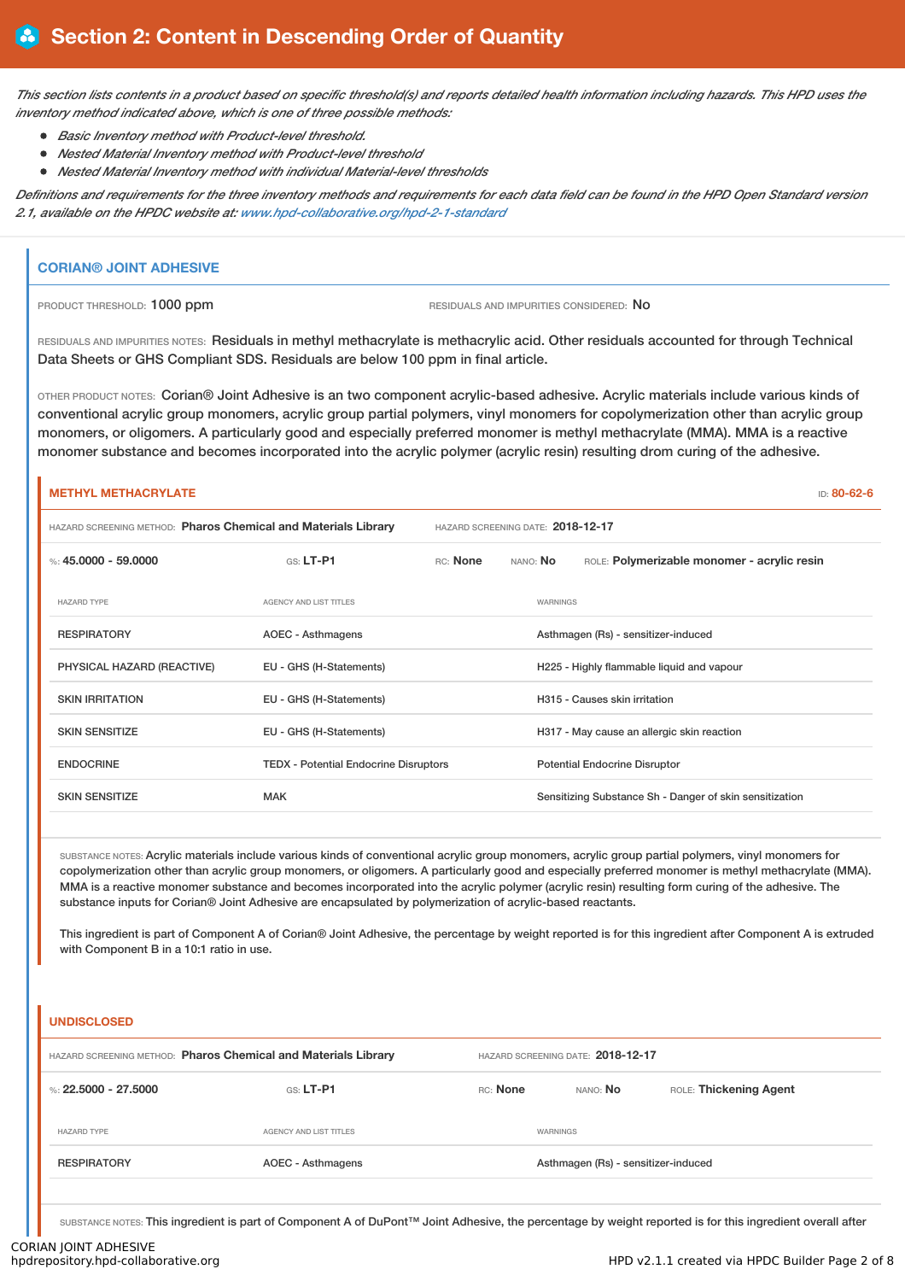This section lists contents in a product based on specific threshold(s) and reports detailed health information including hazards. This HPD uses the *inventory method indicated above, which is one of three possible methods:*

- *Basic Inventory method with Product-level threshold.*
- *Nested Material Inventory method with Product-level threshold*
- *Nested Material Inventory method with individual Material-level thresholds*

Definitions and requirements for the three inventory methods and requirements for each data field can be found in the HPD Open Standard version *2.1, available on the HPDC website at: [www.hpd-collaborative.org/hpd-2-1-standard](http://www.hpd-collaborative.org/hpd-2-1-standard)*

## **CORIAN® JOINT ADHESIVE** PRODUCT THRESHOLD: 1000 ppm **RESIDUALS** AND IMPURITIES CONSIDERED: No RESIDUALS AND IMPURITIES NOTES: Residuals in methyl methacrylate is methacrylic acid. Other residuals accounted for through Technical Data Sheets or GHS Compliant SDS. Residuals are below 100 ppm in final article. OTHER PRODUCT NOTES: Corian® Joint Adhesive is an two component acrylic-based adhesive. Acrylic materials include various kinds of conventional acrylic group monomers, acrylic group partial polymers, vinyl monomers for copolymerization other than acrylic group monomers, or oligomers. A particularly good and especially preferred monomer is methyl methacrylate (MMA). MMA is a reactive

monomer substance and becomes incorporated into the acrylic polymer (acrylic resin) resulting drom curing of the adhesive. **METHYL METHACRYLATE** ID: **80-62-6**

| HAZARD SCREENING METHOD: Pharos Chemical and Materials Library |                                              |          | HAZARD SCREENING DATE: 2018-12-17          |                                                         |  |  |
|----------------------------------------------------------------|----------------------------------------------|----------|--------------------------------------------|---------------------------------------------------------|--|--|
| %: 45,0000 - 59,0000                                           | GS: LT-P1                                    | RC: None | nano: <b>No</b>                            | ROLE: Polymerizable monomer - acrylic resin             |  |  |
| <b>HAZARD TYPE</b>                                             | <b>AGENCY AND LIST TITLES</b>                |          | WARNINGS                                   |                                                         |  |  |
| <b>RESPIRATORY</b>                                             | <b>AOEC - Asthmagens</b>                     |          |                                            | Asthmagen (Rs) - sensitizer-induced                     |  |  |
| PHYSICAL HAZARD (REACTIVE)                                     | EU - GHS (H-Statements)                      |          |                                            | H225 - Highly flammable liquid and vapour               |  |  |
| <b>SKIN IRRITATION</b>                                         | EU - GHS (H-Statements)                      |          |                                            | H315 - Causes skin irritation                           |  |  |
| <b>SKIN SENSITIZE</b>                                          | EU - GHS (H-Statements)                      |          | H317 - May cause an allergic skin reaction |                                                         |  |  |
| <b>ENDOCRINE</b>                                               | <b>TEDX</b> - Potential Endocrine Disruptors |          | <b>Potential Endocrine Disruptor</b>       |                                                         |  |  |
| <b>SKIN SENSITIZE</b>                                          | <b>MAK</b>                                   |          |                                            | Sensitizing Substance Sh - Danger of skin sensitization |  |  |
|                                                                |                                              |          |                                            |                                                         |  |  |

SUBSTANCE NOTES: Acrylic materials include various kinds of conventional acrylic group monomers, acrylic group partial polymers, vinyl monomers for copolymerization other than acrylic group monomers, or oligomers. A particularly good and especially preferred monomer is methyl methacrylate (MMA). MMA is a reactive monomer substance and becomes incorporated into the acrylic polymer (acrylic resin) resulting form curing of the adhesive. The substance inputs for Corian® Joint Adhesive are encapsulated by polymerization of acrylic-based reactants.

This ingredient is part of Component A of Corian® Joint Adhesive, the percentage by weight reported is for this ingredient after Component A is extruded with Component B in a 10:1 ratio in use.

#### **UNDISCLOSED**

| HAZARD SCREENING METHOD: Pharos Chemical and Materials Library |                               | HAZARD SCREENING DATE: 2018-12-17 |                                     |                        |  |
|----------------------------------------------------------------|-------------------------------|-----------------------------------|-------------------------------------|------------------------|--|
| %: 22.5000 - 27.5000                                           | GS: LT-P1                     | RC: None                          | NANO: <b>No</b>                     | ROLE: Thickening Agent |  |
| <b>HAZARD TYPE</b>                                             | <b>AGENCY AND LIST TITLES</b> |                                   | WARNINGS                            |                        |  |
| <b>RESPIRATORY</b>                                             | AOEC - Asthmagens             |                                   | Asthmagen (Rs) - sensitizer-induced |                        |  |
|                                                                |                               |                                   |                                     |                        |  |

SUBSTANCE NOTES: This ingredient is part of Component A of DuPont™ Joint Adhesive, the percentage by weight reported is for this ingredient overall after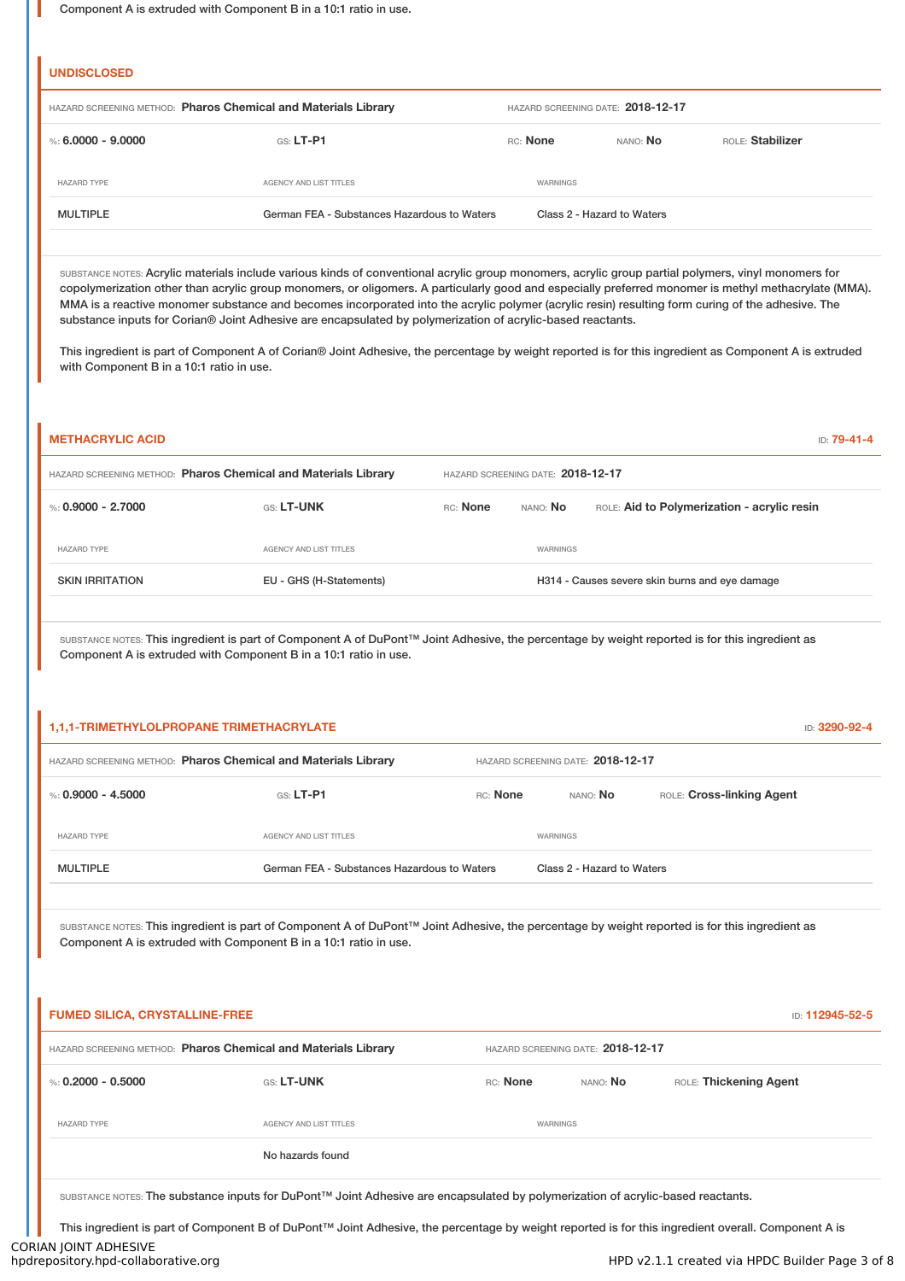Component A is extruded with Component B in a 10:1 ratio in use.

#### **UNDISCLOSED**

| HAZARD SCREENING METHOD: Pharos Chemical and Materials Library |                                             |                            | HAZARD SCREENING DATE: 2018-12-17 |                  |
|----------------------------------------------------------------|---------------------------------------------|----------------------------|-----------------------------------|------------------|
| %: 6.0000 - 9.0000                                             | $GS: LT-P1$                                 | RC: None                   | nano: <b>No</b>                   | ROLE: Stabilizer |
| <b>HAZARD TYPE</b>                                             | AGENCY AND LIST TITLES                      | WARNINGS                   |                                   |                  |
| <b>MULTIPLE</b>                                                | German FEA - Substances Hazardous to Waters | Class 2 - Hazard to Waters |                                   |                  |
|                                                                |                                             |                            |                                   |                  |

SUBSTANCE NOTES: Acrylic materials include various kinds of conventional acrylic group monomers, acrylic group partial polymers, vinyl monomers for copolymerization other than acrylic group monomers, or oligomers. A particularly good and especially preferred monomer is methyl methacrylate (MMA). MMA is a reactive monomer substance and becomes incorporated into the acrylic polymer (acrylic resin) resulting form curing of the adhesive. The substance inputs for Corian® Joint Adhesive are encapsulated by polymerization of acrylic-based reactants.

This ingredient is part of Component A of Corian® Joint Adhesive, the percentage by weight reported is for this ingredient as Component A is extruded with Component B in a 10:1 ratio in use.

| <b>METHACRYLIC ACID</b>                                        |                                   |          |          | ID: 79-41-4                                    |
|----------------------------------------------------------------|-----------------------------------|----------|----------|------------------------------------------------|
| HAZARD SCREENING METHOD: Pharos Chemical and Materials Library | HAZARD SCREENING DATE: 2018-12-17 |          |          |                                                |
| %: $0.9000 - 2.7000$                                           | GS: LT-UNK                        | RC: None | NANO: No | ROLE: Aid to Polymerization - acrylic resin    |
| <b>HAZARD TYPE</b>                                             | <b>AGENCY AND LIST TITLES</b>     |          | WARNINGS |                                                |
| <b>SKIN IRRITATION</b>                                         | EU - GHS (H-Statements)           |          |          | H314 - Causes severe skin burns and eye damage |
|                                                                |                                   |          |          |                                                |

SUBSTANCE NOTES: This ingredient is part of Component A of DuPont™ Joint Adhesive, the percentage by weight reported is for this ingredient as Component A is extruded with Component B in a 10:1 ratio in use.

| 1,1,1-TRIMETHYLOLPROPANE TRIMETHACRYLATE                       |                                             |          |                                   |                           |  |
|----------------------------------------------------------------|---------------------------------------------|----------|-----------------------------------|---------------------------|--|
| HAZARD SCREENING METHOD: Pharos Chemical and Materials Library |                                             |          | HAZARD SCREENING DATE: 2018-12-17 |                           |  |
| %: 0.9000 - 4.5000                                             | $GS: LT-P1$                                 | RC: None | NANO: No                          | ROLE: Cross-linking Agent |  |
| <b>HAZARD TYPE</b>                                             | AGENCY AND LIST TITLES                      |          | WARNINGS                          |                           |  |
| MULTIPLE                                                       | German FEA - Substances Hazardous to Waters |          | Class 2 - Hazard to Waters        |                           |  |

SUBSTANCE NOTES: This ingredient is part of Component A of DuPont™ Joint Adhesive, the percentage by weight reported is for this ingredient as Component A is extruded with Component B in a 10:1 ratio in use.

#### **FUMED SILICA, CRYSTALLINE-FREE** ID: **112945-52-5**

| HAZARD SCREENING METHOD: Pharos Chemical and Materials Library |                        |          | HAZARD SCREENING DATE: 2018-12-17 |                        |  |  |  |
|----------------------------------------------------------------|------------------------|----------|-----------------------------------|------------------------|--|--|--|
| %: $0.2000 - 0.5000$                                           | GS: LT-UNK             | RC: None | NANO: <b>No</b>                   | ROLE: Thickening Agent |  |  |  |
| <b>HAZARD TYPE</b>                                             | AGENCY AND LIST TITLES | WARNINGS |                                   |                        |  |  |  |
|                                                                | No hazards found       |          |                                   |                        |  |  |  |
|                                                                |                        |          |                                   |                        |  |  |  |

SUBSTANCE NOTES: The substance inputs for DuPont™ Joint Adhesive are encapsulated by polymerization of acrylic-based reactants.

This ingredient is part of Component B of DuPont™ Joint Adhesive, the percentage by weight reported is for this ingredient overall. Component A is

CORIAN JOINT ADHESIVE<br>hpdrepository.hpd-collaborative.org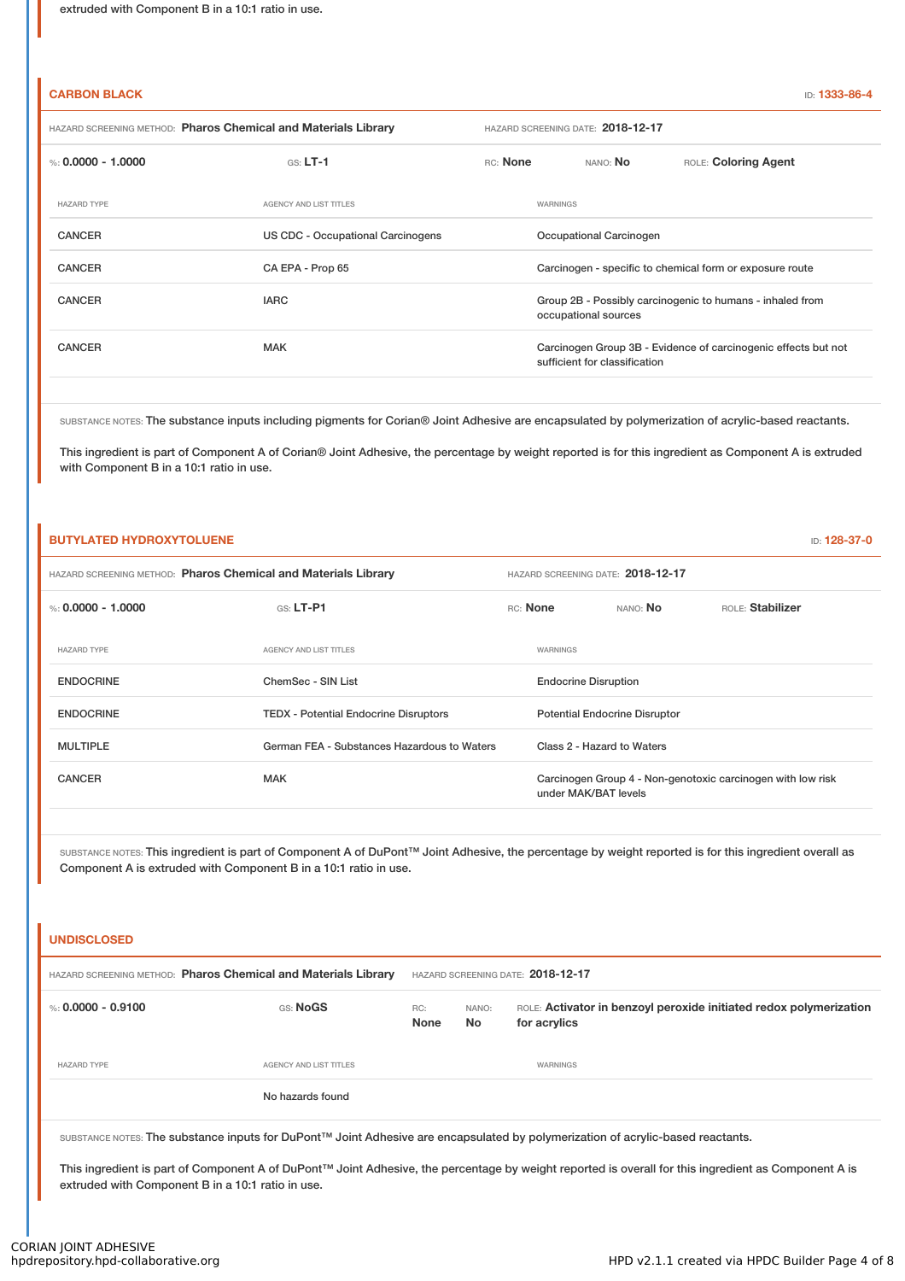#### **CARBON BLACK** ID: **1333-86-4**

| HAZARD SCREENING METHOD: Pharos Chemical and Materials Library |                                          | HAZARD SCREENING DATE: 2018-12-17 |          |                               |                                                                |
|----------------------------------------------------------------|------------------------------------------|-----------------------------------|----------|-------------------------------|----------------------------------------------------------------|
| %: $0.0000 - 1.0000$                                           | $GS: LT-1$                               | RC: None                          |          | NANO: No                      | ROLE: Coloring Agent                                           |
| <b>HAZARD TYPE</b>                                             | <b>AGENCY AND LIST TITLES</b>            |                                   | WARNINGS |                               |                                                                |
| <b>CANCER</b>                                                  | <b>US CDC - Occupational Carcinogens</b> |                                   |          | Occupational Carcinogen       |                                                                |
| <b>CANCER</b>                                                  | CA EPA - Prop 65                         |                                   |          |                               | Carcinogen - specific to chemical form or exposure route       |
| <b>CANCER</b>                                                  | <b>IARC</b>                              |                                   |          | occupational sources          | Group 2B - Possibly carcinogenic to humans - inhaled from      |
| <b>CANCER</b>                                                  | <b>MAK</b>                               |                                   |          | sufficient for classification | Carcinogen Group 3B - Evidence of carcinogenic effects but not |
|                                                                |                                          |                                   |          |                               |                                                                |

SUBSTANCE NOTES: The substance inputs including pigments for Corian® Joint Adhesive are encapsulated by polymerization of acrylic-based reactants.

This ingredient is part of Component A of Corian® Joint Adhesive, the percentage by weight reported is for this ingredient as Component A is extruded with Component B in a 10:1 ratio in use.

# **BUTYLATED HYDROXYTOLUENE** ID: **128-37-0** HAZARD SCREENING METHOD: **Pharos Chemical and Materials Library** HAZARD SCREENING DATE: **2018-12-17** %: **0.0000 - 1.0000** GS: **LT-P1** RC: **None** NANO: **No** ROLE: **Stabilizer** HAZARD TYPE **AGENCY AND LIST TITLES** AGENCY AND LIST TITLES ENDOCRINE ChemSec - SIN List Endocrine Disruption ENDOCRINE TEDX - Potential Endocrine Disruptors Potential Endocrine Disruptor MULTIPLE German FEA - Substances Hazardous to Waters Class 2 - Hazard to Waters CANCER **CANCER** MAK MAK CANCER CANCER CANCER MAK CANCER CANCER CANCER CANCER CANCER CANCER CANCER CANCER CANCE under MAK/BAT levels

SUBSTANCE NOTES: This ingredient is part of Component A of DuPont™ Joint Adhesive, the percentage by weight reported is for this ingredient overall as Component A is extruded with Component B in a 10:1 ratio in use.

| <b>UNDISCLOSED</b>                                |                                                                |                                   |              |                                                                                                                                                                                                                                                                                         |  |
|---------------------------------------------------|----------------------------------------------------------------|-----------------------------------|--------------|-----------------------------------------------------------------------------------------------------------------------------------------------------------------------------------------------------------------------------------------------------------------------------------------|--|
|                                                   | HAZARD SCREENING METHOD: Pharos Chemical and Materials Library | HAZARD SCREENING DATE: 2018-12-17 |              |                                                                                                                                                                                                                                                                                         |  |
| %: $0.0000 - 0.9100$                              | GS: NoGS                                                       | RC:<br><b>None</b>                | NANO:<br>No. | ROLE: Activator in benzoyl peroxide initiated redox polymerization<br>for acrylics                                                                                                                                                                                                      |  |
| <b>HAZARD TYPE</b>                                | <b>AGENCY AND LIST TITLES</b>                                  |                                   |              | WARNINGS                                                                                                                                                                                                                                                                                |  |
|                                                   | No hazards found                                               |                                   |              |                                                                                                                                                                                                                                                                                         |  |
| extruded with Component B in a 10:1 ratio in use. |                                                                |                                   |              | SUBSTANCE NOTES: The substance inputs for DuPont™ Joint Adhesive are encapsulated by polymerization of acrylic-based reactants.<br>This ingredient is part of Component A of DuPont™ Joint Adhesive, the percentage by weight reported is overall for this ingredient as Component A is |  |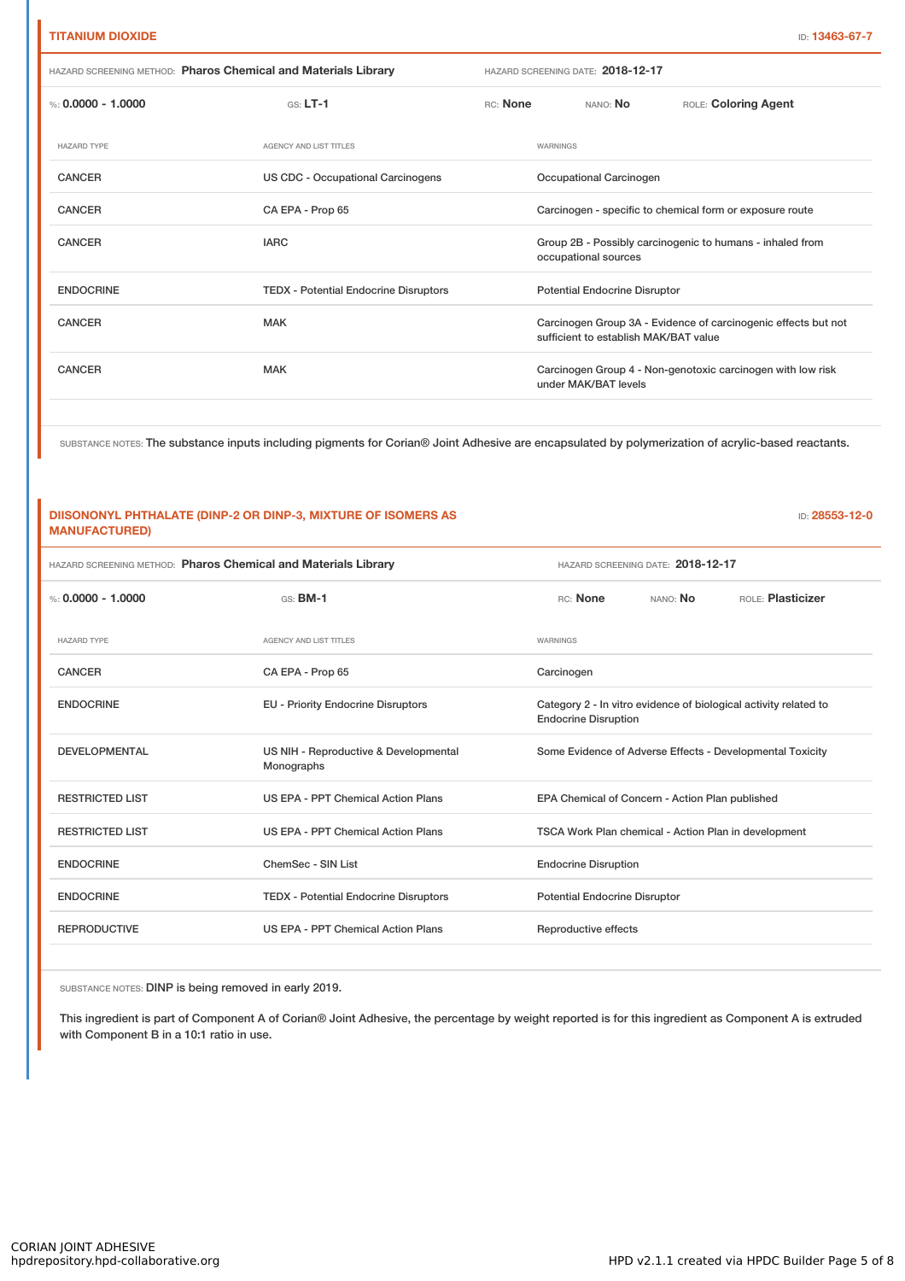| HAZARD SCREENING METHOD: Pharos Chemical and Materials Library |                                              | HAZARD SCREENING DATE: 2018-12-17 |          |                                       |                                                                |  |
|----------------------------------------------------------------|----------------------------------------------|-----------------------------------|----------|---------------------------------------|----------------------------------------------------------------|--|
| %: $0.0000 - 1.0000$                                           | $GS: LT-1$                                   | RC: None                          |          | NANO: <b>No</b>                       | ROLE: Coloring Agent                                           |  |
| <b>HAZARD TYPE</b>                                             | AGENCY AND LIST TITLES                       |                                   | WARNINGS |                                       |                                                                |  |
| <b>CANCER</b>                                                  | US CDC - Occupational Carcinogens            |                                   |          | Occupational Carcinogen               |                                                                |  |
| CANCER                                                         | CA EPA - Prop 65                             |                                   |          |                                       | Carcinogen - specific to chemical form or exposure route       |  |
| <b>CANCER</b>                                                  | <b>IARC</b>                                  |                                   |          | occupational sources                  | Group 2B - Possibly carcinogenic to humans - inhaled from      |  |
| <b>ENDOCRINE</b>                                               | <b>TEDX</b> - Potential Endocrine Disruptors |                                   |          | <b>Potential Endocrine Disruptor</b>  |                                                                |  |
| <b>CANCER</b>                                                  | <b>MAK</b>                                   |                                   |          | sufficient to establish MAK/BAT value | Carcinogen Group 3A - Evidence of carcinogenic effects but not |  |
| <b>CANCER</b>                                                  | <b>MAK</b>                                   |                                   |          | under MAK/BAT levels                  | Carcinogen Group 4 - Non-genotoxic carcinogen with low risk    |  |
|                                                                |                                              |                                   |          |                                       |                                                                |  |

SUBSTANCE NOTES: The substance inputs including pigments for Corian® Joint Adhesive are encapsulated by polymerization of acrylic-based reactants.

#### **DIISONONYL PHTHALATE (DINP-2 OR DINP-3, MIXTURE OF ISOMERS AS MANUFACTURED)**

ID: **28553-12-0**

| HAZARD SCREENING METHOD: Pharos Chemical and Materials Library |                                                     | HAZARD SCREENING DATE: 2018-12-17                                                               |
|----------------------------------------------------------------|-----------------------------------------------------|-------------------------------------------------------------------------------------------------|
| %: $0.0000 - 1.0000$                                           | GS: BM-1                                            | ROLE: Plasticizer<br>RC: None<br>NANO: No                                                       |
| <b>HAZARD TYPE</b>                                             | AGENCY AND LIST TITLES                              | WARNINGS                                                                                        |
| CANCER                                                         | CA EPA - Prop 65                                    | Carcinogen                                                                                      |
| <b>ENDOCRINE</b>                                               | <b>EU - Priority Endocrine Disruptors</b>           | Category 2 - In vitro evidence of biological activity related to<br><b>Endocrine Disruption</b> |
| <b>DEVELOPMENTAL</b>                                           | US NIH - Reproductive & Developmental<br>Monographs | Some Evidence of Adverse Effects - Developmental Toxicity                                       |
| <b>RESTRICTED LIST</b>                                         | US EPA - PPT Chemical Action Plans                  | EPA Chemical of Concern - Action Plan published                                                 |
| <b>RESTRICTED LIST</b>                                         | US EPA - PPT Chemical Action Plans                  | TSCA Work Plan chemical - Action Plan in development                                            |
| <b>ENDOCRINE</b>                                               | ChemSec - SIN List                                  | <b>Endocrine Disruption</b>                                                                     |
| <b>ENDOCRINE</b>                                               | <b>TEDX</b> - Potential Endocrine Disruptors        | <b>Potential Endocrine Disruptor</b>                                                            |
| <b>REPRODUCTIVE</b>                                            | US EPA - PPT Chemical Action Plans                  | Reproductive effects                                                                            |

SUBSTANCE NOTES: DINP is being removed in early 2019.

This ingredient is part of Component A of Corian® Joint Adhesive, the percentage by weight reported is for this ingredient as Component A is extruded with Component B in a 10:1 ratio in use.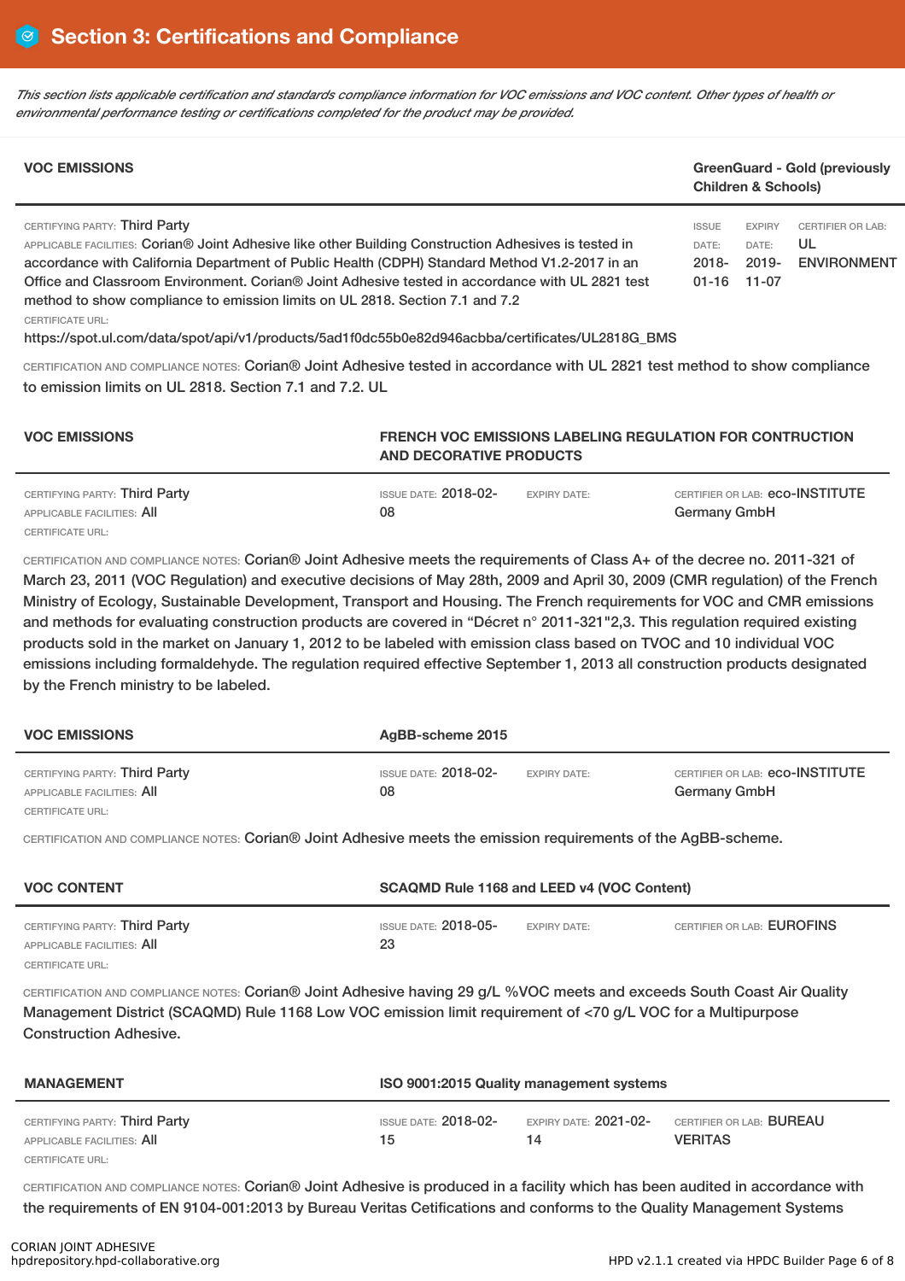This section lists applicable certification and standards compliance information for VOC emissions and VOC content. Other types of health or *environmental performance testing or certifications completed for the product may be provided.*

| <b>VOC EMISSIONS</b>                                                                                                                                                                                                                                                                                                                                                                                                       |                                | <b>Children &amp; Schools)</b>                      | <b>GreenGuard - Gold (previously</b>          |
|----------------------------------------------------------------------------------------------------------------------------------------------------------------------------------------------------------------------------------------------------------------------------------------------------------------------------------------------------------------------------------------------------------------------------|--------------------------------|-----------------------------------------------------|-----------------------------------------------|
| CERTIFYING PARTY: Third Party<br>APPLICABLE FACILITIES: Corian® Joint Adhesive like other Building Construction Adhesives is tested in<br>accordance with California Department of Public Health (CDPH) Standard Method V1.2-2017 in an<br>Office and Classroom Environment, Corian® Joint Adhesive tested in accordance with UL 2821 test<br>method to show compliance to emission limits on UL 2818. Section 7.1 and 7.2 | <b>ISSUE</b><br>DATE:<br>2018- | <b>EXPIRY</b><br>DATE:<br>$2019 -$<br>$01-16$ 11-07 | CERTIFIER OR LAB:<br>UL<br><b>ENVIRONMENT</b> |

CERTIFICATE URL:

CERTIFICATE URL:

https://spot.ul.com/data/spot/api/v1/products/5ad1f0dc55b0e82d946acbba/certificates/UL2818G\_BMS

CERTIFICATION AND COMPLIANCE NOTES: Corian® Joint Adhesive tested in accordance with UL 2821 test method to show compliance to emission limits on UL 2818. Section 7.1 and 7.2. UL

| <b>VOC EMISSIONS</b>          | <b>FRENCH VOC EMISSIONS LABELING REGULATION FOR CONTRUCTION</b><br>AND DECORATIVE PRODUCTS |                     |                                        |
|-------------------------------|--------------------------------------------------------------------------------------------|---------------------|----------------------------------------|
| CERTIFYING PARTY: Third Party | ISSUE DATE: <b>2018-02-</b>                                                                | <b>EXPIRY DATE:</b> | CERTIFIER OR LAB: <b>eCO-INSTITUTE</b> |
| APPLICABLE FACILITIES: AII    | 08                                                                                         |                     | <b>Germany GmbH</b>                    |

CERTIFICATION AND COMPLIANCE NOTES: Corian® Joint Adhesive meets the requirements of Class A+ of the decree no. 2011-321 of March 23, 2011 (VOC Regulation) and executive decisions of May 28th, 2009 and April 30, 2009 (CMR regulation) of the French Ministry of Ecology, Sustainable Development, Transport and Housing. The French requirements for VOC and CMR emissions and methods for evaluating construction products are covered in "Décret n° 2011-321"2,3. This regulation required existing products sold in the market on January 1, 2012 to be labeled with emission class based on TVOC and 10 individual VOC emissions including formaldehyde. The regulation required effective September 1, 2013 all construction products designated by the French ministry to be labeled.

| <b>VOC EMISSIONS</b>                                        | AgBB-scheme 2015                                         |                                                               |
|-------------------------------------------------------------|----------------------------------------------------------|---------------------------------------------------------------|
| CERTIFYING PARTY: Third Party<br>APPLICABLE FACILITIES: AII | ISSUE DATE: $2018$ - $02$ -<br><b>EXPIRY DATE:</b><br>08 | CERTIFIER OR LAB: <b>eCO-INSTITUTE</b><br><b>Germany GmbH</b> |
| CERTIFICATE URL:                                            |                                                          |                                                               |

CERTIFICATION AND COMPLIANCE NOTES: Corian® Joint Adhesive meets the emission requirements of the AgBB-scheme.

| <b>VOC CONTENT</b>                                          | SCAQMD Rule 1168 and LEED v4 (VOC Content) |                     |                            |
|-------------------------------------------------------------|--------------------------------------------|---------------------|----------------------------|
| CERTIFYING PARTY: Third Party<br>APPLICABLE FACILITIES: AII | ISSUE DATE: <b>2018-05-</b><br>23          | <b>EXPIRY DATE:</b> | CERTIFIER OR LAB: EUROFINS |
| CERTIFICATE URL:                                            |                                            |                     |                            |

CERTIFICATION AND COMPLIANCE NOTES: Corian® Joint Adhesive having 29 g/L %VOC meets and exceeds South Coast Air Quality Management District (SCAQMD) Rule 1168 Low VOC emission limit requirement of <70 g/L VOC for a Multipurpose Construction Adhesive.

| <b>MANAGEMENT</b>                                           | ISO 9001:2015 Quality management systems |                                    |                                                   |  |
|-------------------------------------------------------------|------------------------------------------|------------------------------------|---------------------------------------------------|--|
| CERTIFYING PARTY: Third Party<br>APPLICABLE FACILITIES: AII | ISSUE DATE: $2018 - 02 -$<br>15          | EXPIRY DATE: <b>2021-02-</b><br>14 | CERTIFIER OR LAB: <b>BUREAU</b><br><b>VERITAS</b> |  |
| CERTIFICATE URL:                                            |                                          |                                    |                                                   |  |

CERTIFICATION AND COMPLIANCE NOTES: Corian® Joint Adhesive is produced in a facility which has been audited in accordance with the requirements of EN 9104-001:2013 by Bureau Veritas Cetifications and conforms to the Quality Management Systems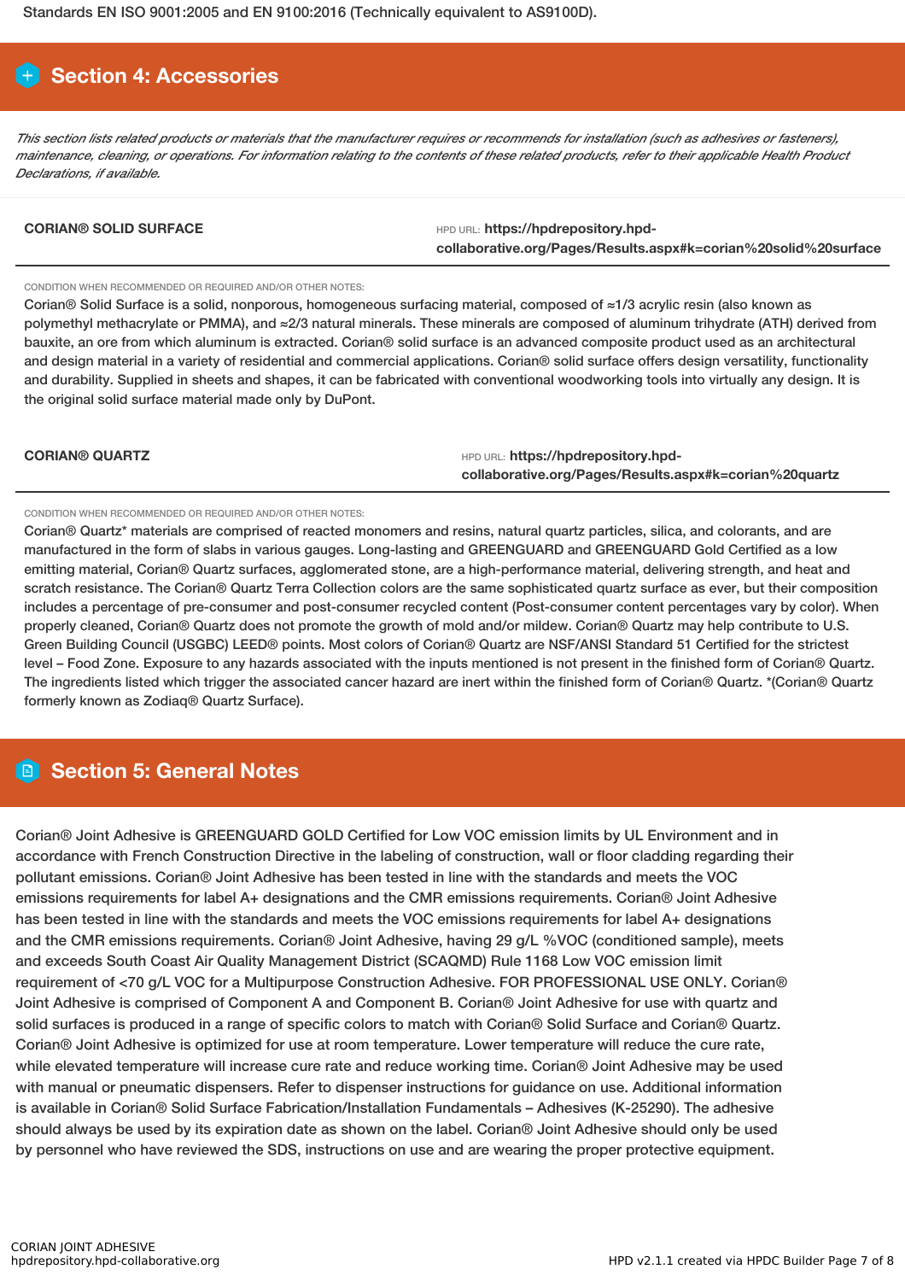Standards EN ISO 9001:2005 and EN 9100:2016 (Technically equivalent to AS9100D).

## **Section 4: Accessories**

This section lists related products or materials that the manufacturer requires or recommends for installation (such as adhesives or fasteners), maintenance, cleaning, or operations. For information relating to the contents of these related products, refer to their applicable Health Product *Declarations, if available.*

**CORIAN®** SOLID SURFACE **And Solid Structure of the SOLID** SURFACE **HPD URL: https://hpdrepository.hpdcollaborative.org/Pages/Results.aspx#k=corian%20solid%20surface**

#### CONDITION WHEN RECOMMENDED OR REQUIRED AND/OR OTHER NOTES:

Corian® Solid Surface is a solid, nonporous, homogeneous surfacing material, composed of ≈1/3 acrylic resin (also known as polymethyl methacrylate or PMMA), and ≈2/3 natural minerals. These minerals are composed of aluminum trihydrate (ATH) derived from bauxite, an ore from which aluminum is extracted. Corian® solid surface is an advanced composite product used as an architectural and design material in a variety of residential and commercial applications. Corian® solid surface offers design versatility, functionality and durability. Supplied in sheets and shapes, it can be fabricated with conventional woodworking tools into virtually any design. It is the original solid surface material made only by DuPont.

**CORIAN®** QUARTZ **And URL: <b>https://hpdrepository.hpdcollaborative.org/Pages/Results.aspx#k=corian%20quartz**

#### CONDITION WHEN RECOMMENDED OR REQUIRED AND/OR OTHER NOTES:

Corian® Quartz\* materials are comprised of reacted monomers and resins, natural quartz particles, silica, and colorants, and are manufactured in the form of slabs in various gauges. Long-lasting and GREENGUARD and GREENGUARD Gold Certified as a low emitting material, Corian® Quartz surfaces, agglomerated stone, are a high-performance material, delivering strength, and heat and scratch resistance. The Corian® Quartz Terra Collection colors are the same sophisticated quartz surface as ever, but their composition includes a percentage of pre-consumer and post-consumer recycled content (Post-consumer content percentages vary by color). When properly cleaned, Corian® Quartz does not promote the growth of mold and/or mildew. Corian® Quartz may help contribute to U.S. Green Building Council (USGBC) LEED® points. Most colors of Corian® Quartz are NSF/ANSI Standard 51 Certified for the strictest level – Food Zone. Exposure to any hazards associated with the inputs mentioned is not present in the finished form of Corian® Quartz. The ingredients listed which trigger the associated cancer hazard are inert within the finished form of Corian® Quartz. \*(Corian® Quartz formerly known as Zodiaq® Quartz Surface).

### **Section 5: General Notes**

Corian® Joint Adhesive is GREENGUARD GOLD Certified for Low VOC emission limits by UL Environment and in accordance with French Construction Directive in the labeling of construction, wall or floor cladding regarding their pollutant emissions. Corian® Joint Adhesive has been tested in line with the standards and meets the VOC emissions requirements for label A+ designations and the CMR emissions requirements. Corian® Joint Adhesive has been tested in line with the standards and meets the VOC emissions requirements for label A+ designations and the CMR emissions requirements. Corian® Joint Adhesive, having 29 g/L %VOC (conditioned sample), meets and exceeds South Coast Air Quality Management District (SCAQMD) Rule 1168 Low VOC emission limit requirement of <70 g/L VOC for a Multipurpose Construction Adhesive. FOR PROFESSIONAL USE ONLY. Corian® Joint Adhesive is comprised of Component A and Component B. Corian® Joint Adhesive for use with quartz and solid surfaces is produced in a range of specific colors to match with Corian® Solid Surface and Corian® Quartz. Corian® Joint Adhesive is optimized for use at room temperature. Lower temperature will reduce the cure rate, while elevated temperature will increase cure rate and reduce working time. Corian® Joint Adhesive may be used with manual or pneumatic dispensers. Refer to dispenser instructions for guidance on use. Additional information is available in Corian® Solid Surface Fabrication/Installation Fundamentals – Adhesives (K-25290). The adhesive should always be used by its expiration date as shown on the label. Corian® Joint Adhesive should only be used by personnel who have reviewed the SDS, instructions on use and are wearing the proper protective equipment.